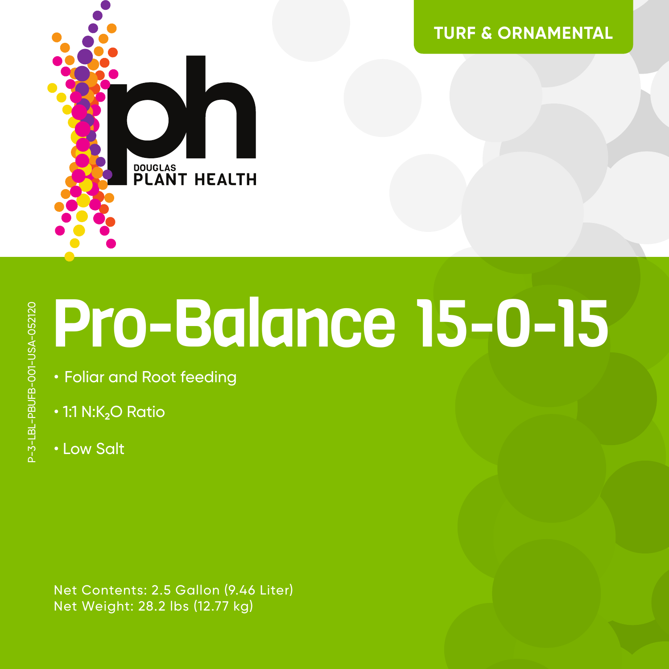

**TURF & ORNAMENTAL**

# Pro-Balance 15-0-15

- Foliar and Root feeding
- $\cdot$  1:1 N:K<sub>2</sub>O Ratio
- Low Salt

Net Contents: 2.5 Gallon (9.46 Liter) Net Weight: 28.2 lbs (12.77 kg)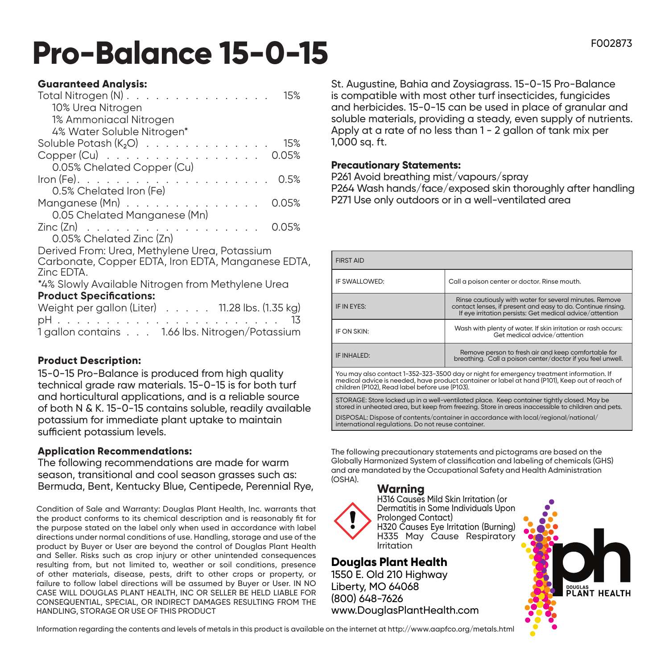# **Pro-Balance 15-0-15** FOO2873

### **Guaranteed Analysis:**

| Total Nitrogen $(N)$<br>15%                                                  |
|------------------------------------------------------------------------------|
| 10% Urea Nitrogen                                                            |
| 1% Ammoniacal Nitrogen                                                       |
| 4% Water Soluble Nitrogen*                                                   |
| Soluble Potash $(K_2O)$<br>15%                                               |
| Copper (Cu) 0.05%                                                            |
| 0.05% Chelated Copper (Cu)                                                   |
| $\mathsf{Iron}(\mathsf{Fe})$ .<br>. 0.5%                                     |
| 0.5% Chelated Iron (Fe)                                                      |
| $M$ anganese (Mn) $\ldots \ldots \ldots \ldots$<br>0.05%                     |
| 0.05 Chelated Manganese (Mn)                                                 |
| $\mathsf{Zinc}\left(\mathsf{Zn}\right)$<br>0.05%<br><b>Contract Contract</b> |
| 0.05% Chelated Zinc (Zn)                                                     |
| Derived From: Urea, Methylene Urea, Potassium                                |
| Carbonate, Copper EDTA, Iron EDTA, Manganese EDTA,                           |
| Zinc EDTA.                                                                   |
| *4% Slowly Available Nitrogen from Methylene Urea                            |
| <b>Product Specifications:</b>                                               |
| Weight per gallon (Liter) 11.28 lbs. (1.35 kg)                               |
| . 13<br>pH                                                                   |
| 1 gallon contains 1.66 lbs. Nitrogen/Potassium                               |

# **Product Description:**

15-0-15 Pro-Balance is produced from high quality technical grade raw materials. 15-0-15 is for both turf and horticultural applications, and is a reliable source of both N & K. 15-0-15 contains soluble, readily available potassium for immediate plant uptake to maintain sufficient potassium levels.

## **Application Recommendations:**

The following recommendations are made for warm season, transitional and cool season grasses such as: Bermuda, Bent, Kentucky Blue, Centipede, Perennial Rye,

Condition of Sale and Warranty: Douglas Plant Health, Inc. warrants that the product conforms to its chemical description and is reasonably fit for the purpose stated on the label only when used in accordance with label directions under normal conditions of use. Handling, storage and use of the product by Buyer or User are beyond the control of Douglas Plant Health and Seller. Risks such as crop injury or other unintended consequences resulting from, but not limited to, weather or soil conditions, presence of other materials, disease, pests, drift to other crops or property, or failure to follow label directions will be assumed by Buyer or User. IN NO CASE WILL DOUGLAS PLANT HEALTH, INC OR SELLER BE HELD LIABLE FOR CONSEQUENTIAL, SPECIAL, OR INDIRECT DAMAGES RESULTING FROM THE HANDLING, STORAGE OR USE OF THIS PRODUCT

St. Augustine, Bahia and Zoysiagrass. 15-0-15 Pro-Balance is compatible with most other turf insecticides, fungicides and herbicides. 15-0-15 can be used in place of granular and soluble materials, providing a steady, even supply of nutrients. Apply at a rate of no less than 1 - 2 gallon of tank mix per 1,000 sq. ft.

#### **Precautionary Statements:**

P261 Avoid breathing mist/vapours/spray P264 Wash hands/face/exposed skin thoroughly after handling P271 Use only outdoors or in a well-ventilated area

| <b>FIRST AID</b>                                                                                                                                                                                                                             |                                                                                                                                                                                     |  |
|----------------------------------------------------------------------------------------------------------------------------------------------------------------------------------------------------------------------------------------------|-------------------------------------------------------------------------------------------------------------------------------------------------------------------------------------|--|
| IF SWALLOWED:                                                                                                                                                                                                                                | Call a poison center or doctor. Rinse mouth.                                                                                                                                        |  |
| IF IN EYES:                                                                                                                                                                                                                                  | Rinse cautiously with water for several minutes, Remove<br>contact lenses, if present and easy to do. Continue rinsing.<br>If eye irritation persists: Get medical advice/attention |  |
| IF ON SKIN:                                                                                                                                                                                                                                  | Wash with plenty of water. If skin irritation or rash occurs:<br>Get medical advice/attention                                                                                       |  |
| IF INHALED:                                                                                                                                                                                                                                  | Remove person to fresh air and keep comfortable for<br>breathing. Call a poison center/doctor if you feel unwell.                                                                   |  |
| You may also contact 1-352-323-3500 day or night for emergency treatment information. If<br>medical advice is needed, have product container or label at hand (P101), Keep out of reach of<br>children (P102), Read label before use (P103). |                                                                                                                                                                                     |  |
| STORAGE: Store locked up in a well-ventilated place. Keep container tightly closed. May be                                                                                                                                                   |                                                                                                                                                                                     |  |

stored in unheated area, but keep from freezing. Store in areas inaccessible to children and pets. DISPOSAL: Dispose of contents/container in accordance with local/regional/national/ international regulations. Do not reuse container.

The following precautionary statements and pictograms are based on the Globally Harmonized System of classification and labeling of chemicals (GHS) and are mandated by the Occupational Safety and Health Administration (OSHA).

#### **Warning**

H316 Causes Mild Skin Irritation (or Dermatitis in Some Individuals Upon Prolonged Contact) H320 Causes Eye Irritation (Burning) H335 May Cause Respiratory Irritation

**Douglas Plant Health** 1550 E. Old 210 Highway Liberty, MO 64068 (800) 648-7626 www.DouglasPlantHealth.com



Information regarding the contents and levels of metals in this product is available on the internet at http://www.aapfco.org/metals.html